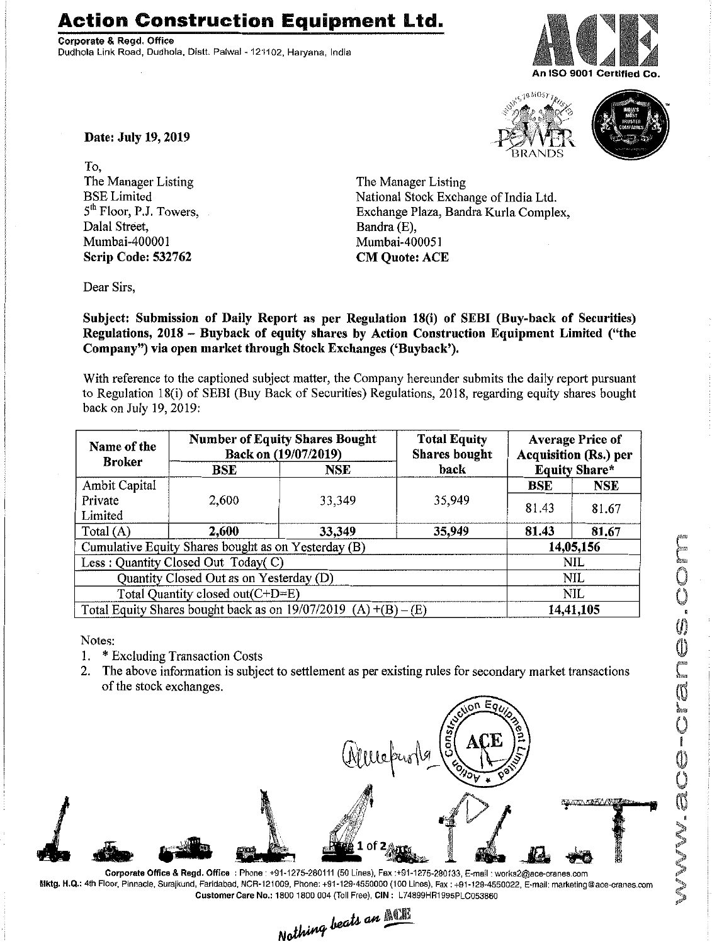## **Action Construction Equipment Ltd.**

Corporate & Regd. Office Dudhola Link Road, Dudhola, Distt. Palwal- 121102, Haryana, India







Date: July 19, 2019

To, The Manager Listing BSE Limited 5<sup>th</sup> Floor, P.J. Towers, Dalal Street, Mumbai-400001 Scrip Code: 532762

The Manager Listing National Stock Exchange of India Ltd. Exchange Plaza, Bandra Kurla Complex, Bandra (E), Mumbai-4000S1 CM Quote: ACE

Dear Sirs,

Subject: Submission of Daily Report as per Regulation 18(i) of SEBI (Buy-back of Securities) Regulations, 2018 - Buyback of equity shares by Action Construction Equipment Limited ("the Company") via open market through Stock Exchanges ('Buyback').

With reference to the captioned subject matter, the Company hereunder submits the daily report pursuant to Regulation 18(i) of SEBI (Buy Back of Securities) Regulations, 2018, regarding equity shares bought back on July 19,2019:

| Name of the<br><b>Broker</b>                                      | <b>Number of Equity Shares Bought</b><br>Back on (19/07/2019) |            | <b>Total Equity</b><br>Shares bought | <b>Average Price of</b><br><b>Acquisition (Rs.) per</b> |            |
|-------------------------------------------------------------------|---------------------------------------------------------------|------------|--------------------------------------|---------------------------------------------------------|------------|
|                                                                   | BSE                                                           | <b>NSE</b> | back                                 | <b>Equity Share*</b>                                    |            |
| Ambit Capital                                                     |                                                               |            |                                      | <b>BSE</b>                                              | <b>NSE</b> |
| Private                                                           | 2,600                                                         | 33,349     | 35.949                               | 81.43                                                   | 81.67      |
| Limited                                                           |                                                               |            |                                      |                                                         |            |
| Total (A)                                                         | 2,600                                                         | 33,349     | 35,949                               | 81.43                                                   | 81.67      |
| Cumulative Equity Shares bought as on Yesterday (B)               |                                                               |            |                                      | 14,05,156                                               |            |
| Less: Quantity Closed Out Today(C)                                |                                                               |            |                                      | NIL                                                     |            |
| Quantity Closed Out as on Yesterday (D)                           |                                                               |            |                                      | <b>NIL</b>                                              |            |
| Total Quantity closed out $(C+\overline{D=E})$                    |                                                               |            |                                      | NIL                                                     |            |
| Total Equity Shares bought back as on $19/07/2019$ (A) +(B) – (E) |                                                               |            |                                      | 14,41,105                                               |            |

Notes:

- 1. \* Excluding Transaction Costs
- 2. The above information is subject to settlement as per existing rules for secondary market transactions of the stock exchanges.



Corporate Office & Regd. Office: Phone: +91·1275·280111 (50 Lines), Fax:+91-1275-280133, E-mail: works2@ace-cranes.com Mktg, H.Q.: 4th Floor, Pinnacle, Surajkund, Faridabad, NCR·121009, Phone: +91-129-4550000 (100 Lines), Fax: +91·129-4550022, E·mail:marketing@ace-cranes.com

Customer Care No.: 1800 1800 004 (Toll Free), CIN: L74899HR1995PLC053860<br>Nathing beats an  $\frac{\mathbb{N}^2}{2}$